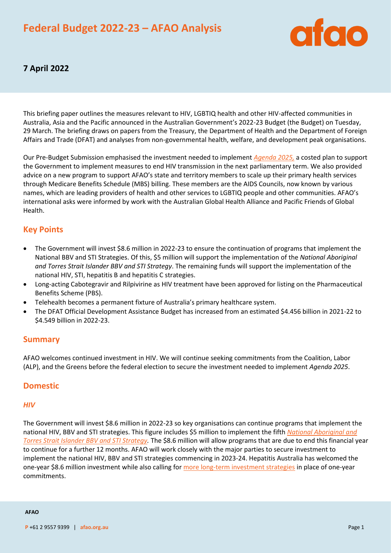# **Federal Budget 2022-23 – AFAO Analysis**



# **7 April 2022**

This briefing paper outlines the measures relevant to HIV, LGBTIQ health and other HIV-affected communities in Australia, Asia and the Pacific announced in the Australian Government's 2022-23 Budget (the Budget) on Tuesday, 29 March. The briefing draws on papers from the Treasury, the Department of Health and the Department of Foreign Affairs and Trade (DFAT) and analyses from non-governmental health, welfare, and development peak organisations.

Our Pre-Budget Submission emphasised the investment needed to implement *[Agenda 2025,](https://www.afao.org.au/our-work/agenda-2025/)* a costed plan to support the Government to implement measures to end HIV transmission in the next parliamentary term. We also provided advice on a new program to support AFAO's state and territory members to scale up their primary health services through Medicare Benefits Schedule (MBS) billing. These members are the AIDS Councils, now known by various names, which are leading providers of health and other services to LGBTIQ people and other communities. AFAO's international asks were informed by work with the Australian Global Health Alliance and Pacific Friends of Global Health.

# **Key Points**

- The Government will invest \$8.6 million in 2022-23 to ensure the continuation of programs that implement the National BBV and STI Strategies. Of this, \$5 million will support the implementation of the *National Aboriginal and Torres Strait Islander BBV and STI Strategy*. The remaining funds will support the implementation of the national HIV, STI, hepatitis B and hepatitis C strategies.
- Long-acting Cabotegravir and Rilpivirine as HIV treatment have been approved for listing on the Pharmaceutical Benefits Scheme (PBS).
- Telehealth becomes a permanent fixture of Australia's primary healthcare system.
- The DFAT Official Development Assistance Budget has increased from an estimated \$4.456 billion in 2021-22 to \$4.549 billion in 2022-23.

### **Summary**

AFAO welcomes continued investment in HIV. We will continue seeking commitments from the Coalition, Labor (ALP), and the Greens before the federal election to secure the investment needed to implement *Agenda 2025*.

### **Domestic**

#### *HIV*

The Government will invest \$8.6 million in 2022-23 so key organisations can continue programs that implement the national HIV, BBV and STI strategies. This figure includes \$5 million to implement the fifth *[National Aboriginal and](https://www1.health.gov.au/internet/main/publishing.nsf/Content/ohp-bbvs-1/$File/ATSI-Fifth-Nat-Strategy-2018-22.pdf)  [Torres Strait Islander BBV and STI Strategy.](https://www1.health.gov.au/internet/main/publishing.nsf/Content/ohp-bbvs-1/$File/ATSI-Fifth-Nat-Strategy-2018-22.pdf)* The \$8.6 million will allow programs that are due to end this financial year to continue for a further 12 months. AFAO will work closely with the major parties to secure investment to implement the national HIV, BBV and STI strategies commencing in 2023-24. Hepatitis Australia has welcomed the one-year \$8.6 million investment while also calling for [more long-term investment strategies](https://www.hepatitisaustralia.com/news/12-month-funding-a-lifeline-but-2030-hepatitis-elimination-goals-demand-longer-term-investment) in place of one-year commitments.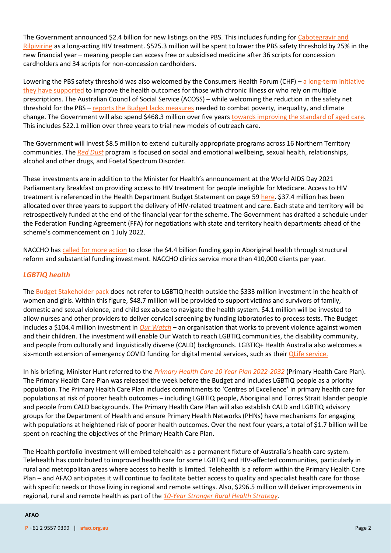The Government announced \$2.4 billion for new listings on the PBS. This includes funding for [Cabotegravir and](https://www.acon.org.au/wp-content/uploads/2021/08/2021-08-20-ACON-Long-acting-injectables-for-HIV-treatment-and-prevention-.pdf)  [Rilpivirine](https://www.acon.org.au/wp-content/uploads/2021/08/2021-08-20-ACON-Long-acting-injectables-for-HIV-treatment-and-prevention-.pdf) as a long-acting HIV treatment. \$525.3 million will be spent to lower the PBS safety threshold by 25% in the new financial year – meaning people can access free or subsidised medicine after 36 scripts for concession cardholders and 34 scripts for non-concession cardholders.

Lowering the PBS safety threshold was also welcomed by the Consumers Health Forum (CHF) – a long-term initiative they have [supported](https://chf.org.au/media-releases/federal-health-budget-steady-she-goes-not-transformational) to improve the health outcomes for those with chronic illness or who rely on multiple prescriptions. The Australian Council of Social Service (ACOSS) – while welcoming the reduction in the safety net threshold for the PBS – reports [the Budget lacks measures](https://www.acoss.org.au/media-releases/?media_release=a-budget-people-cant-rely-on) needed to combat poverty, inequality, and climate change. The Government will also spend \$468.3 million over five year[s towards improving the standard of aged care.](https://nexusapac.com.au/2022/03/29/federal-budget-2022/) This includes \$22.1 million over three years to trial new models of outreach care.

The Government will invest \$8.5 million to extend culturally appropriate programs across 16 Northern Territory communities. The *[Red Dust](https://www.reddust.org.au/)* program is focused on social and emotional wellbeing, sexual health, relationships, alcohol and other drugs, and Foetal Spectrum Disorder.

These investments are in addition to the Minister for Health's announcement at the World AIDS Day 2021 Parliamentary Breakfast on providing access to HIV treatment for people ineligible for Medicare. Access to HIV treatment is referenced in the Health Department Budget Statement on page 5[9 here.](https://www.health.gov.au/sites/default/files/documents/2022/03/budget-2022-23-portfolio-budget-statements.pdf) \$37.4 million has been allocated over three years to support the delivery of HIV-related treatment and care. Each state and territory will be retrospectively funded at the end of the financial year for the scheme. The Government has drafted a schedule under the Federation Funding Agreement (FFA) for negotiations with state and territory health departments ahead of the scheme's commencement on 1 July 2022.

NACCHO has [called for more action](https://www.naccho.org.au/another-big-spending-budget-short-changes-aboriginal-and-torres-strait-islander-health/) to close the \$4.4 billion funding gap in Aboriginal health through structural reform and substantial funding investment. NACCHO clinics service more than 410,000 clients per year.

#### *LGBTIQ health*

Th[e Budget Stakeholder pack](https://www.health.gov.au/resources/publications/budget-2022-23-stakeholder-pack) does not refer to LGBTIQ health outside the \$333 million investment in the health of women and girls. Within this figure, \$48.7 million will be provided to support victims and survivors of family, domestic and sexual violence, and child sex abuse to navigate the health system. \$4.1 million will be invested to allow nurses and other providers to deliver cervical screening by funding laboratories to process tests. The Budget includes a \$104.4 million investment in *[Our Watch](https://www.ourwatch.org.au/)* – an organisation that works to prevent violence against women and their children. The investment will enable Our Watch to reach LGBTIQ communities, the disability community, and people from culturally and linguistically diverse (CALD) backgrounds. LGBTIQ+ Health Australia also welcomes a six-month extension of emergency COVID funding for digital mental services, such as thei[r QLife service.](https://qlife.org.au/about-us)

In his briefing, Minister Hunt referred to the *[Primary Health Care 10 Year Plan 2022-2032](https://www.health.gov.au/resources/publications/australias-primary-health-care-10-year-plan-2022-2032)* (Primary Health Care Plan). The Primary Health Care Plan was released the week before the Budget and includes LGBTIQ people as a priority population. The Primary Health Care Plan includes commitments to 'Centres of Excellence' in primary health care for populations at risk of poorer health outcomes – including LGBTIQ people, Aboriginal and Torres Strait Islander people and people from CALD backgrounds. The Primary Health Care Plan will also establish CALD and LGBTIQ advisory groups for the Department of Health and ensure Primary Health Networks (PHNs) have mechanisms for engaging with populations at heightened risk of poorer health outcomes. Over the next four years, a total of \$1.7 billion will be spent on reaching the objectives of the Primary Health Care Plan.

The Health portfolio investment will embed telehealth as a permanent fixture of Australia's health care system. Telehealth has contributed to improved health care for some LGBTIQ and HIV-affected communities, particularly in rural and metropolitan areas where access to health is limited. Telehealth is a reform within the Primary Health Care Plan – and AFAO anticipates it will continue to facilitate better access to quality and specialist health care for those with specific needs or those living in regional and remote settings. Also, \$296.5 million will deliver improvements in regional, rural and remote health as part of the *[10-Year Stronger Rural Health Strategy.](https://www.health.gov.au/health-topics/rural-health-workforce/stronger-rural-health-strategy#:~:text=The%20Stronger%20Rural%20Health%20Strategy,3%2C000%20extra%20nurses%20by%202028.)* 

#### **AFAO**